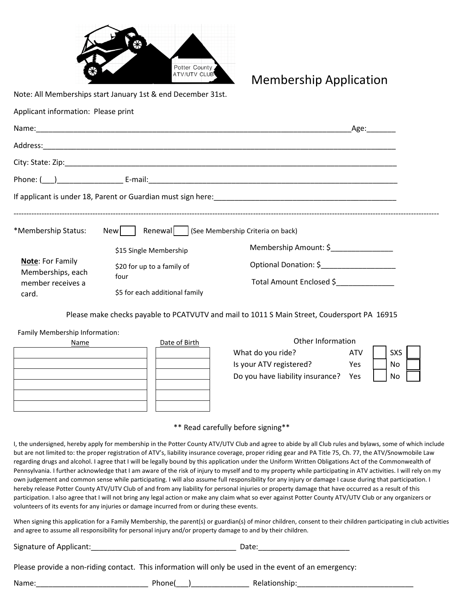

Membership Application

Note: All Memberships start January 1st & end December 31st.

| Applicant information: Please print |  |
|-------------------------------------|--|
|-------------------------------------|--|

|                                                                   |                                                    |                          | Age: |
|-------------------------------------------------------------------|----------------------------------------------------|--------------------------|------|
|                                                                   |                                                    |                          |      |
|                                                                   |                                                    |                          |      |
|                                                                   |                                                    |                          |      |
|                                                                   |                                                    |                          |      |
| *Membership Status:                                               | Renewal   (See Membership Criteria on back)<br>New |                          |      |
|                                                                   | \$15 Single Membership                             | Membership Amount: \$    |      |
| <b>Note: For Family</b><br>Memberships, each<br>member receives a | \$20 for up to a family of<br>four                 | Optional Donation: \$    |      |
|                                                                   |                                                    | Total Amount Enclosed \$ |      |
| card.                                                             | \$5 for each additional family                     |                          |      |

Please make checks payable to PCATVUTV and mail to 1011 S Main Street, Coudersport PA 16915

Family Membership Information:



| Other Information                |     |  |     |  |  |  |
|----------------------------------|-----|--|-----|--|--|--|
| What do you ride?                | ATV |  | SXS |  |  |  |
| Is your ATV registered?          | Yes |  | No  |  |  |  |
| Do you have liability insurance? | Yes |  | No  |  |  |  |
|                                  |     |  |     |  |  |  |

## \*\* Read carefully before signing\*\*

I, the undersigned, hereby apply for membership in the Potter County ATV/UTV Club and agree to abide by all Club rules and bylaws, some of which include but are not limited to: the proper registration of ATV's, liability insurance coverage, proper riding gear and PA Title 75, Ch. 77, the ATV/Snowmobile Law regarding drugs and alcohol. I agree that I will be legally bound by this application under the Uniform Written Obligations Act of the Commonwealth of Pennsylvania. I further acknowledge that I am aware of the risk of injury to myself and to my property while participating in ATV activities. I will rely on my own judgement and common sense while participating. I will also assume full responsibility for any injury or damage I cause during that participation. I hereby release Potter County ATV/UTV Club of and from any liability for personal injuries or property damage that have occurred as a result of this participation. I also agree that I will not bring any legal action or make any claim what so ever against Potter County ATV/UTV Club or any organizers or volunteers of its events for any injuries or damage incurred from or during these events.

When signing this application for a Family Membership, the parent(s) or guardian(s) of minor children, consent to their children participating in club activities and agree to assume all responsibility for personal injury and/or property damage to and by their children.

Signature of Applicant:\_\_\_\_\_\_\_\_\_\_\_\_\_\_\_\_\_\_\_\_\_\_\_\_\_\_\_\_\_\_\_\_\_\_\_ Date:\_\_\_\_\_\_\_\_\_\_\_\_\_\_\_\_\_\_\_\_\_\_

Please provide a non-riding contact. This information will only be used in the event of an emergency:

Name: Thone( ) Relationship: Thone Relationship: